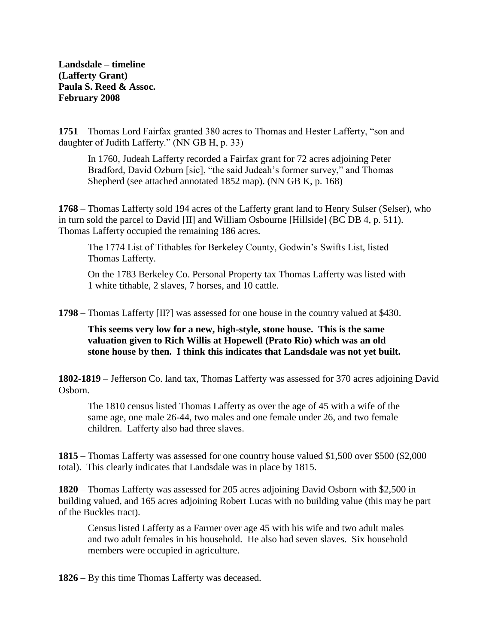**Landsdale – timeline (Lafferty Grant) Paula S. Reed & Assoc. February 2008**

**1751** – Thomas Lord Fairfax granted 380 acres to Thomas and Hester Lafferty, "son and daughter of Judith Lafferty." (NN GB H, p. 33)

In 1760, Judeah Lafferty recorded a Fairfax grant for 72 acres adjoining Peter Bradford, David Ozburn [sic], "the said Judeah's former survey," and Thomas Shepherd (see attached annotated 1852 map). (NN GB K, p. 168)

**1768** – Thomas Lafferty sold 194 acres of the Lafferty grant land to Henry Sulser (Selser), who in turn sold the parcel to David [II] and William Osbourne [Hillside] (BC DB 4, p. 511). Thomas Lafferty occupied the remaining 186 acres.

The 1774 List of Tithables for Berkeley County, Godwin's Swifts List, listed Thomas Lafferty.

On the 1783 Berkeley Co. Personal Property tax Thomas Lafferty was listed with 1 white tithable, 2 slaves, 7 horses, and 10 cattle.

**1798** – Thomas Lafferty [II?] was assessed for one house in the country valued at \$430.

**This seems very low for a new, high-style, stone house. This is the same valuation given to Rich Willis at Hopewell (Prato Rio) which was an old stone house by then. I think this indicates that Landsdale was not yet built.**

**1802-1819** – Jefferson Co. land tax, Thomas Lafferty was assessed for 370 acres adjoining David Osborn.

The 1810 census listed Thomas Lafferty as over the age of 45 with a wife of the same age, one male 26-44, two males and one female under 26, and two female children. Lafferty also had three slaves.

**1815** – Thomas Lafferty was assessed for one country house valued \$1,500 over \$500 (\$2,000 total). This clearly indicates that Landsdale was in place by 1815.

**1820** – Thomas Lafferty was assessed for 205 acres adjoining David Osborn with \$2,500 in building valued, and 165 acres adjoining Robert Lucas with no building value (this may be part of the Buckles tract).

Census listed Lafferty as a Farmer over age 45 with his wife and two adult males and two adult females in his household. He also had seven slaves. Six household members were occupied in agriculture.

**1826** – By this time Thomas Lafferty was deceased.